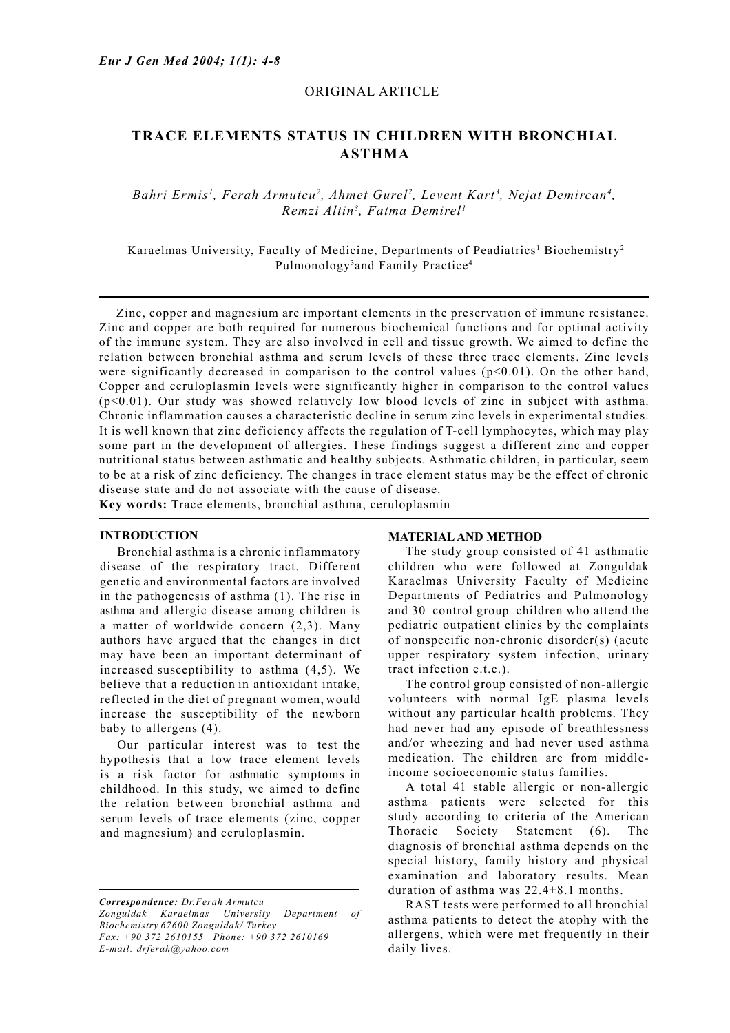## ORIGINAL ARTICLE

# **TRACE ELEMENTS STATUS IN CHILDREN WITH BRONCHIAL ASTHMA**

Bahri Ermis<sup>1</sup>, Ferah Armutcu<sup>2</sup>, Ahmet Gurel<sup>2</sup>, Levent Kart<sup>3</sup>, Nejat Demircan<sup>4</sup>, *Remzi Altin3 , Fatma Demirel1*

Karaelmas University, Faculty of Medicine, Departments of Peadiatrics<sup>1</sup> Biochemistry<sup>2</sup> Pulmonology<sup>3</sup> and Family Practice<sup>4</sup>

Zinc, copper and magnesium are important elements in the preservation of immune resistance. Zinc and copper are both required for numerous biochemical functions and for optimal activity of the immune system. They are also involved in cell and tissue growth. We aimed to define the relation between bronchial asthma and serum levels of these three trace elements. Zinc levels were significantly decreased in comparison to the control values  $(p<0.01)$ . On the other hand, Copper and ceruloplasmin levels were significantly higher in comparison to the control values (p<0.01). Our study was showed relatively low blood levels of zinc in subject with asthma. Chronic inflammation causes a characteristic decline in serum zinc levels in experimental studies. It is well known that zinc deficiency affects the regulation of T-cell lymphocytes, which may play some part in the development of allergies. These findings suggest a different zinc and copper nutritional status between asthmatic and healthy subjects. Asthmatic children, in particular, seem to be at a risk of zinc deficiency. The changes in trace element status may be the effect of chronic disease state and do not associate with the cause of disease.

**Key words:** Trace elements, bronchial asthma, ceruloplasmin

#### **INTRODUCTION**

Bronchial asthma is a chronic inflammatory disease of the respiratory tract. Different genetic and environmental factors are involved in the pathogenesis of asthma (1). The rise in asthma and allergic disease among children is a matter of worldwide concern (2,3). Many authors have argued that the changes in diet may have been an important determinant of increased susceptibility to asthma (4,5). We believe that a reduction in antioxidant intake, reflected in the diet of pregnant women, would increase the susceptibility of the newborn baby to allergens (4).

Our particular interest was to test the hypothesis that a low trace element levels is a risk factor for asthmatic symptoms in childhood. In this study, we aimed to define the relation between bronchial asthma and serum levels of trace elements (zinc, copper and magnesium) and ceruloplasmin.

*Correspondence: Dr.Ferah Armutcu Zonguldak Karaelmas University Department of Biochemistry 67600 Zonguldak/ Turkey Fax: +90 372 2610155 Phone: +90 372 2610169 E-mail: drferah@yahoo.com*

#### **MATERIAL AND METHOD**

 The study group consisted of 41 asthmatic children who were followed at Zonguldak Karaelmas University Faculty of Medicine Departments of Pediatrics and Pulmonology and 30 control group children who attend the pediatric outpatient clinics by the complaints of nonspecific non-chronic disorder(s) (acute upper respiratory system infection, urinary tract infection e.t.c.).

 The control group consisted of non-allergic volunteers with normal IgE plasma levels without any particular health problems. They had never had any episode of breathlessness and/or wheezing and had never used asthma medication. The children are from middleincome socioeconomic status families.

 A total 41 stable allergic or non-allergic asthma patients were selected for this study according to criteria of the American Thoracic Society Statement (6). The diagnosis of bronchial asthma depends on the special history, family history and physical examination and laboratory results. Mean duration of asthma was 22.4±8.1 months.

 RAST tests were performed to all bronchial asthma patients to detect the atophy with the allergens, which were met frequently in their daily lives.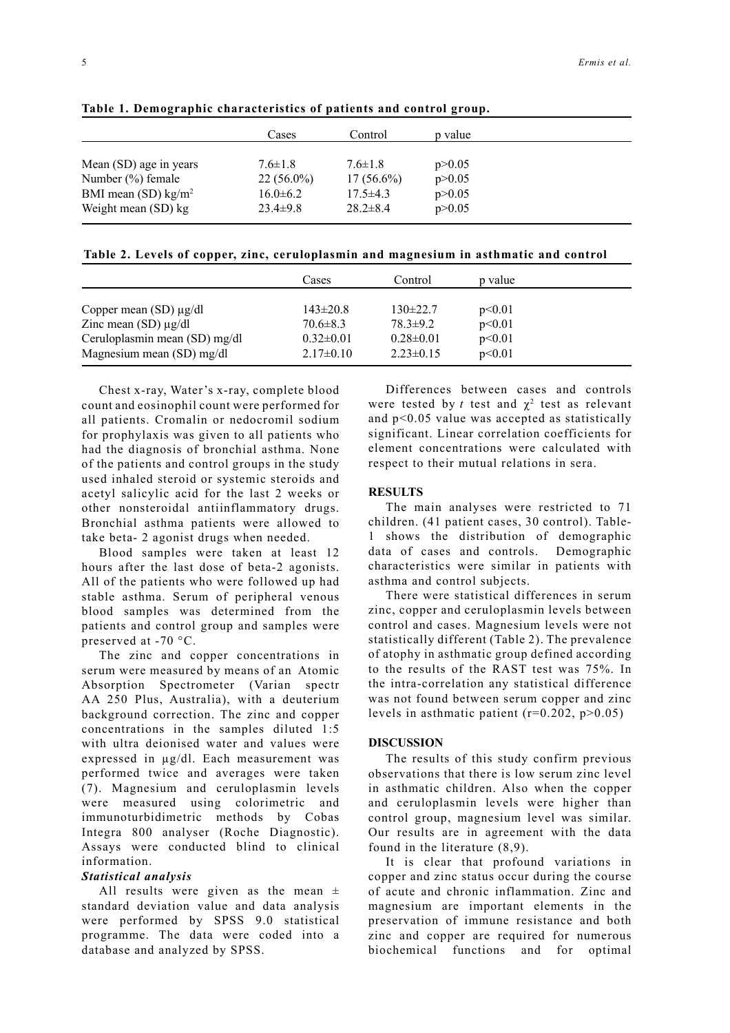5

|                                   | Cases          | Control        | p value  |  |
|-----------------------------------|----------------|----------------|----------|--|
| Mean (SD) age in years            | $7.6 \pm 1.8$  | $7.6 \pm 1.8$  | p > 0.05 |  |
| Number (%) female                 | $22(56.0\%)$   | $17(56.6\%)$   | p > 0.05 |  |
| BMI mean $(SD)$ kg/m <sup>2</sup> | $16.0 \pm 6.2$ | $17.5 \pm 4.3$ | p > 0.05 |  |
| Weight mean (SD) kg               | $23.4 \pm 9.8$ | $28.2 \pm 8.4$ | p > 0.05 |  |

**Table 1. Demographic characteristics of patients and control group.**

| Table 2. Levels of copper, zinc, ceruloplasmin and magnesium in asthmatic and control |  |  |
|---------------------------------------------------------------------------------------|--|--|
|                                                                                       |  |  |

|                                                            | Cases                             | Control                           | p value          |
|------------------------------------------------------------|-----------------------------------|-----------------------------------|------------------|
| Copper mean $(SD) \mu g/dl$                                | $143 \pm 20.8$                    | $130\pm 22.7$                     | p<0.01           |
| Zinc mean $(SD) \mu g/dl$<br>Ceruloplasmin mean (SD) mg/dl | $70.6 \pm 8.3$<br>$0.32 \pm 0.01$ | $78.3 \pm 9.2$<br>$0.28 \pm 0.01$ | p<0.01<br>p<0.01 |
| Magnesium mean (SD) mg/dl                                  | $2.17\pm0.10$                     | $2.23 \pm 0.15$                   | p<0.01           |

 Chest x-ray, Water's x-ray, complete blood count and eosinophil count were performed for all patients. Cromalin or nedocromil sodium for prophylaxis was given to all patients who had the diagnosis of bronchial asthma. None of the patients and control groups in the study used inhaled steroid or systemic steroids and acetyl salicylic acid for the last 2 weeks or other nonsteroidal antiinflammatory drugs. Bronchial asthma patients were allowed to take beta- 2 agonist drugs when needed.

 Blood samples were taken at least 12 hours after the last dose of beta-2 agonists. All of the patients who were followed up had stable asthma. Serum of peripheral venous blood samples was determined from the patients and control group and samples were preserved at -70 °C.

 The zinc and copper concentrations in serum were measured by means of an Atomic Absorption Spectrometer (Varian spectr AA 250 Plus, Australia), with a deuterium background correction. The zinc and copper concentrations in the samples diluted 1:5 with ultra deionised water and values were expressed in µg/dl. Each measurement was performed twice and averages were taken (7). Magnesium and ceruloplasmin levels were measured using colorimetric and immunoturbidimetric methods by Cobas Integra 800 analyser (Roche Diagnostic). Assays were conducted blind to clinical information.

## *Statistical analysis*

All results were given as the mean  $\pm$ standard deviation value and data analysis were performed by SPSS 9.0 statistical programme. The data were coded into a database and analyzed by SPSS.

 Differences between cases and controls were tested by *t* test and  $\chi^2$  test as relevant and p<0.05 value was accepted as statistically significant. Linear correlation coefficients for element concentrations were calculated with respect to their mutual relations in sera.

## **RESULTS**

 The main analyses were restricted to 71 children. (41 patient cases, 30 control). Tableshows the distribution of demographic data of cases and controls. Demographic characteristics were similar in patients with asthma and control subjects.

 There were statistical differences in serum zinc, copper and ceruloplasmin levels between control and cases. Magnesium levels were not statistically different (Table 2). The prevalence of atophy in asthmatic group defined according to the results of the RAST test was 75%. In the intra-correlation any statistical difference was not found between serum copper and zinc levels in asthmatic patient  $(r=0.202, p>0.05)$ 

## **DISCUSSION**

The results of this study confirm previous observations that there is low serum zinc level in asthmatic children. Also when the copper and ceruloplasmin levels were higher than control group, magnesium level was similar. Our results are in agreement with the data found in the literature (8,9).

 It is clear that profound variations in copper and zinc status occur during the course of acute and chronic inflammation. Zinc and magnesium are important elements in the preservation of immune resistance and both zinc and copper are required for numerous biochemical functions and for optimal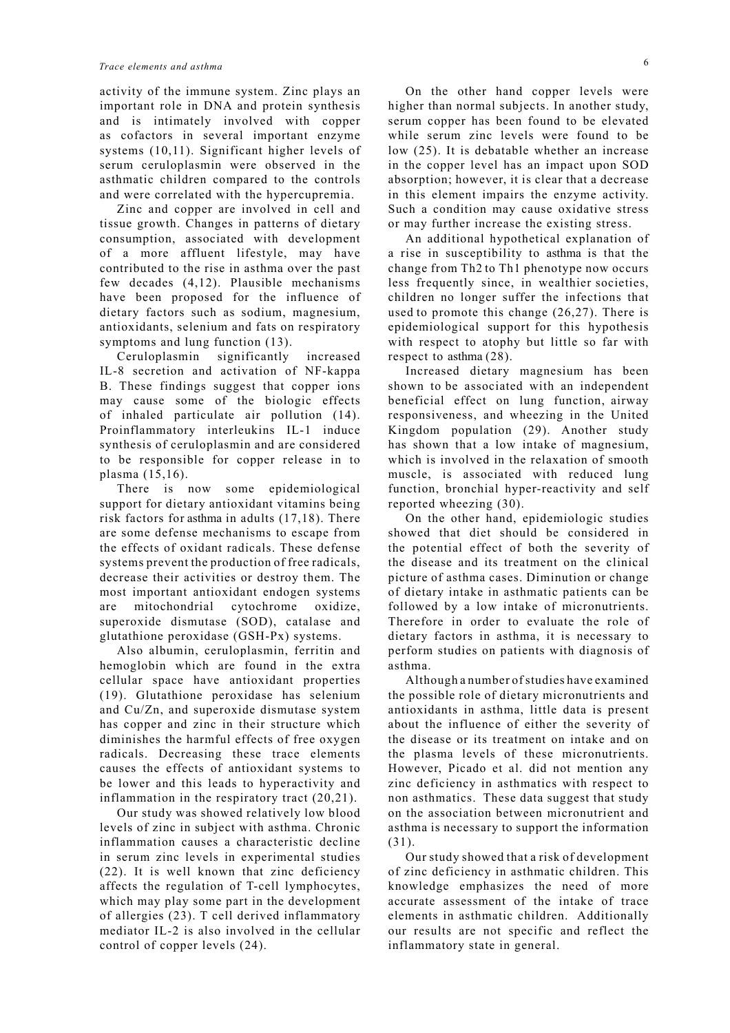activity of the immune system. Zinc plays an important role in DNA and protein synthesis and is intimately involved with copper as cofactors in several important enzyme systems (10,11). Significant higher levels of serum ceruloplasmin were observed in the asthmatic children compared to the controls and were correlated with the hypercupremia.

 Zinc and copper are involved in cell and tissue growth. Changes in patterns of dietary consumption, associated with development of a more affluent lifestyle, may have contributed to the rise in asthma over the past few decades (4,12). Plausible mechanisms have been proposed for the influence of dietary factors such as sodium, magnesium, antioxidants, selenium and fats on respiratory symptoms and lung function (13).

 Ceruloplasmin significantly increased IL-8 secretion and activation of NF-kappa B. These findings suggest that copper ions may cause some of the biologic effects of inhaled particulate air pollution (14). Proinflammatory interleukins IL-1 induce synthesis of ceruloplasmin and are considered to be responsible for copper release in to plasma (15,16).

 There is now some epidemiological support for dietary antioxidant vitamins being risk factors for asthma in adults (17,18). There are some defense mechanisms to escape from the effects of oxidant radicals. These defense systems prevent the production of free radicals, decrease their activities or destroy them. The most important antioxidant endogen systems are mitochondrial cytochrome oxidize, superoxide dismutase (SOD), catalase and glutathione peroxidase (GSH-Px) systems.

 Also albumin, ceruloplasmin, ferritin and hemoglobin which are found in the extra cellular space have antioxidant properties (19). Glutathione peroxidase has selenium and Cu/Zn, and superoxide dismutase system has copper and zinc in their structure which diminishes the harmful effects of free oxygen radicals. Decreasing these trace elements causes the effects of antioxidant systems to be lower and this leads to hyperactivity and inflammation in the respiratory tract (20,21).

 Our study was showed relatively low blood levels of zinc in subject with asthma. Chronic inflammation causes a characteristic decline in serum zinc levels in experimental studies (22). It is well known that zinc deficiency affects the regulation of T-cell lymphocytes, which may play some part in the development of allergies (23). T cell derived inflammatory mediator IL-2 is also involved in the cellular control of copper levels (24).

 On the other hand copper levels were higher than normal subjects. In another study, serum copper has been found to be elevated while serum zinc levels were found to be low (25). It is debatable whether an increase in the copper level has an impact upon SOD absorption; however, it is clear that a decrease in this element impairs the enzyme activity. Such a condition may cause oxidative stress or may further increase the existing stress.

 An additional hypothetical explanation of a rise in susceptibility to asthma is that the change from Th2 to Th1 phenotype now occurs less frequently since, in wealthier societies, children no longer suffer the infections that used to promote this change (26,27). There is epidemiological support for this hypothesis with respect to atophy but little so far with respect to asthma (28).

 Increased dietary magnesium has been shown to be associated with an independent beneficial effect on lung function, airway responsiveness, and wheezing in the United Kingdom population (29). Another study has shown that a low intake of magnesium, which is involved in the relaxation of smooth muscle, is associated with reduced lung function, bronchial hyper-reactivity and self reported wheezing (30).

 On the other hand, epidemiologic studies showed that diet should be considered in the potential effect of both the severity of the disease and its treatment on the clinical picture of asthma cases. Diminution or change of dietary intake in asthmatic patients can be followed by a low intake of micronutrients. Therefore in order to evaluate the role of dietary factors in asthma, it is necessary to perform studies on patients with diagnosis of asthma.

 Although a number of studies have examined the possible role of dietary micronutrients and antioxidants in asthma, little data is present about the influence of either the severity of the disease or its treatment on intake and on the plasma levels of these micronutrients. However, Picado et al. did not mention any zinc deficiency in asthmatics with respect to non asthmatics. These data suggest that study on the association between micronutrient and asthma is necessary to support the information  $(31)$ 

 Our study showed that a risk of development of zinc deficiency in asthmatic children. This knowledge emphasizes the need of more accurate assessment of the intake of trace elements in asthmatic children. Additionally our results are not specific and reflect the inflammatory state in general.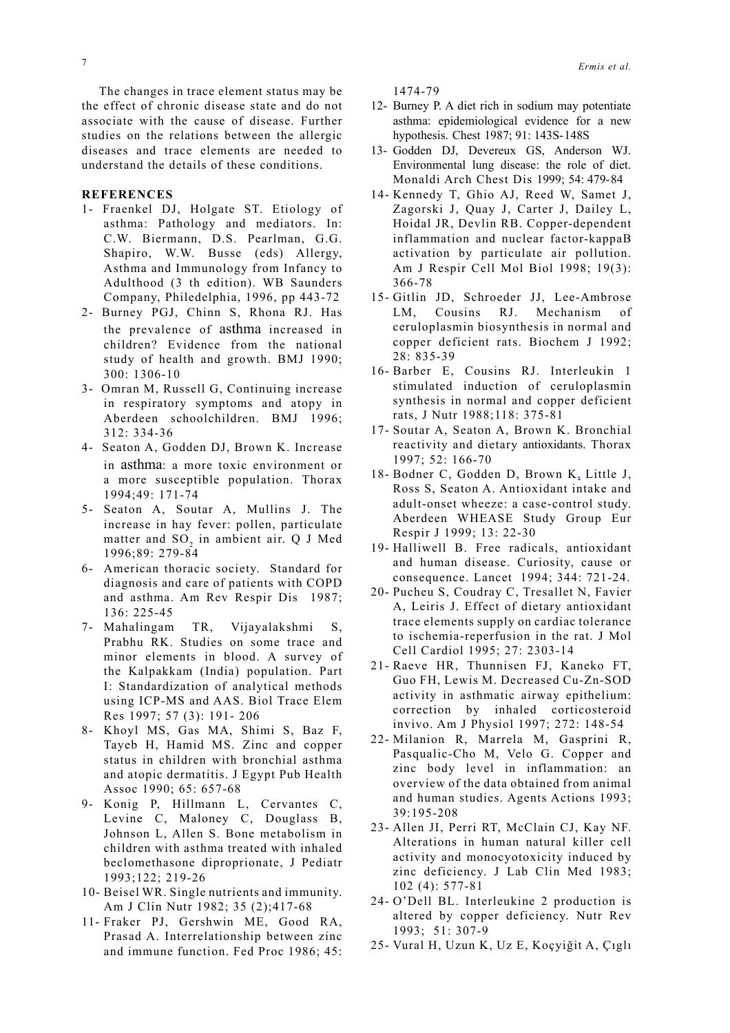The changes in trace element status may be the effect of chronic disease state and do not associate with the cause of disease. Further studies on the relations between the allergic diseases and trace elements are needed to understand the details of these conditions.

#### **REFERENCES**

- 1- Fraenkel DJ, Holgate ST. Etiology of asthma: Pathology and mediators. In: C.W. Biermann, D.S. Pearlman, G.G. Shapiro, W.W. Busse (eds) Allergy, Asthma and Immunology from Infancy to Adulthood (3 th edition). WB Saunders Company, Philedelphia, 1996, pp 443-72
- 2- Burney PGJ, Chinn S, Rhona RJ. Has the prevalence of asthma increased in children? Evidence from the national study of health and growth. BMJ 1990; 300: 1306-10
- 3- Omran M, Russell G, Continuing increase in respiratory symptoms and atopy in Aberdeen schoolchildren. BMJ 1996; 312: 334-36
- 4- Seaton A, Godden DJ, Brown K. Increase in asthma: a more toxic environment or a more susceptible population. Thorax 1994;49: 171-74
- 5- Seaton A, Soutar A, Mullins J. The increase in hay fever: pollen, particulate matter and SO<sub>2</sub> in ambient air. Q J Med 1996;89: 279-84
- 6- American thoracic society. Standard for diagnosis and care of patients with COPD and asthma. Am Rev Respir Dis 1987; 136: 225-45
- 7- Mahalingam TR, Vijayalakshmi S, Prabhu RK. Studies on some trace and minor elements in blood. A survey of the Kalpakkam (India) population. Part I: Standardization of analytical methods using ICP-MS and AAS. Biol Trace Elem Res 1997; 57 (3): 191- 206
- 8- Khoyl MS, Gas MA, Shimi S, Baz F, Tayeb H, Hamid MS. Zinc and copper status in children with bronchial asthma and atopic dermatitis. J Egypt Pub Health Assoc 1990; 65: 657-68
- 9- Konig P, Hillmann L, Cervantes C, Levine C, Maloney C, Douglass B, Johnson L, Allen S. Bone metabolism in children with asthma treated with inhaled beclomethasone diproprionate, J Pediatr 1993;122; 219-26
- 10- Beisel WR. Single nutrients and immunity. Am J Clin Nutr 1982; 35 (2);417-68
- 11- Fraker PJ, Gershwin ME, Good RA, Prasad A. Interrelationship between zinc and immune function. Fed Proc 1986; 45:

1474-79

- 12- Burney P. A diet rich in sodium may potentiate asthma: epidemiological evidence for a new hypothesis. Chest 1987; 91: 143S-148S
- 13- Godden DJ, Devereux GS, Anderson WJ. Environmental lung disease: the role of diet. Monaldi Arch Chest Dis 1999; 54: 479-84
- 14- Kennedy T, Ghio AJ, Reed W, Samet J, Zagorski J, Quay J, Carter J, Dailey L, Hoidal JR, Devlin RB. Copper-dependent inflammation and nuclear factor-kappaB activation by particulate air pollution. Am J Respir Cell Mol Biol 1998; 19(3): 366-78
- 15- Gitlin JD, Schroeder JJ, Lee-Ambrose LM, Cousins RJ. Mechanism of ceruloplasmin biosynthesis in normal and copper deficient rats. Biochem J 1992; 28: 835-39
- 16- Barber E, Cousins RJ. Interleukin 1 stimulated induction of ceruloplasmin synthesis in normal and copper deficient rats, J Nutr 1988;118: 375-81
- 17- Soutar A, Seaton A, Brown K. Bronchial reactivity and dietary antioxidants. Thorax 1997; 52: 166-70
- 18- Bodner C, Godden D, Brown K, Little J, Ross S, Seaton A. Antioxidant intake and adult-onset wheeze: a case-control study. Aberdeen WHEASE Study Group Eur Respir J 1999; 13: 22-30
- 19- Halliwell B. Free radicals, antioxidant and human disease. Curiosity, cause or consequence. Lancet 1994; 344: 721-24.
- 20- Pucheu S, Coudray C, Tresallet N, Favier A, Leiris J. Effect of dietary antioxidant trace elements supply on cardiac tolerance to ischemia-reperfusion in the rat. J Mol Cell Cardiol 1995; 27: 2303-14
- 21- Raeve HR, Thunnisen FJ, Kaneko FT, Guo FH, Lewis M. Decreased Cu-Zn-SOD activity in asthmatic airway epithelium: correction by inhaled corticosteroid invivo. Am J Physiol 1997; 272: 148-54
- 22- Milanion R, Marrela M, Gasprini R, Pasqualic-Cho M, Velo G. Copper and zinc body level in inflammation: an overview of the data obtained from animal and human studies. Agents Actions 1993; 39:195-208
- 23- Allen JI, Perri RT, McClain CJ, Kay NF. Alterations in human natural killer cell activity and monocyotoxicity induced by zinc deficiency. J Lab Clin Med 1983; 102 (4): 577-81
- 24- O'Dell BL. Interleukine 2 production is altered by copper deficiency. Nutr Rev 1993; 51: 307-9
- 25- Vural H, Uzun K, Uz E, Koçyiğit A, Çıglı